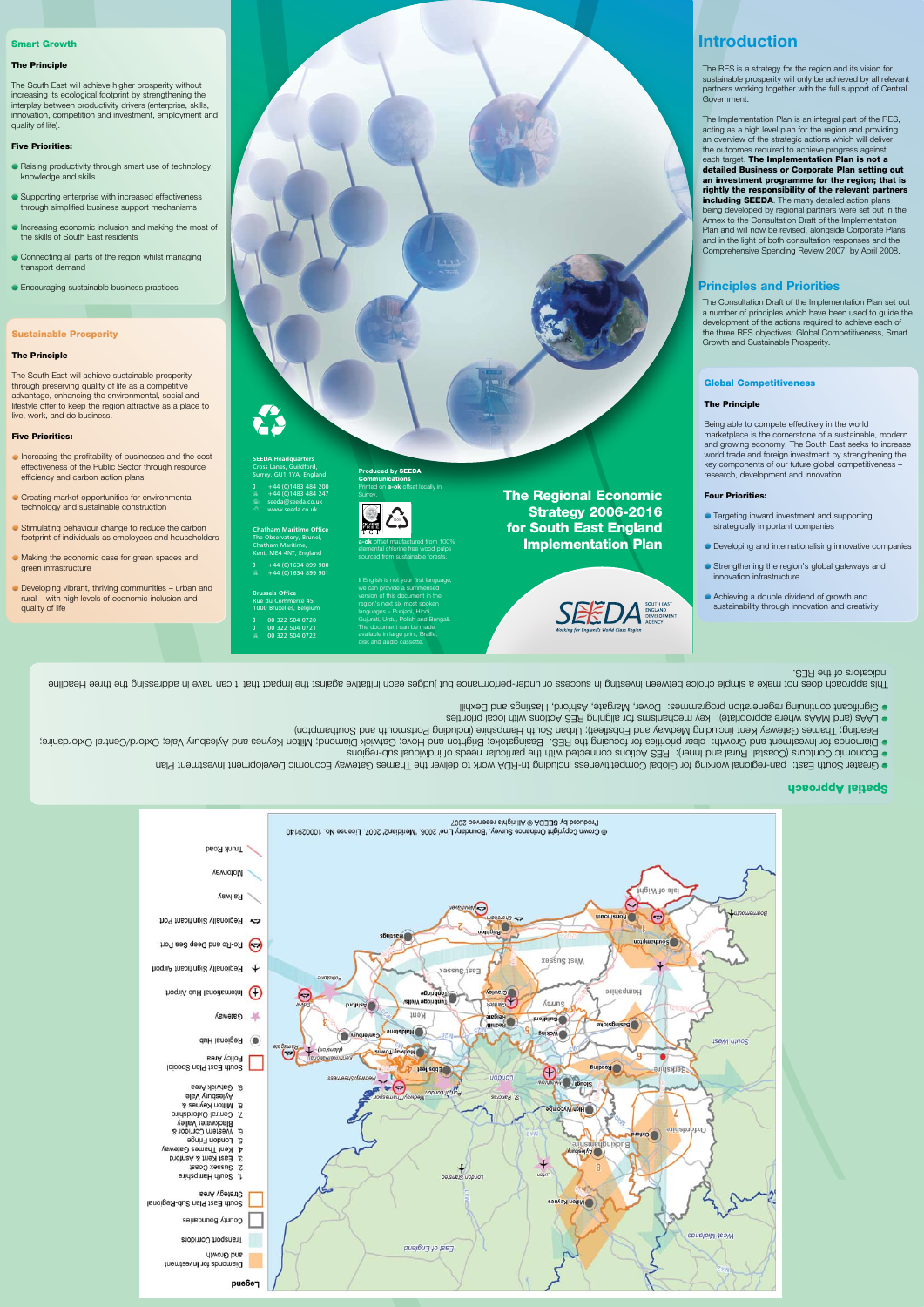**Introduction**

The RES is a strategy for the region and its vision for sustainable prosperity will only be achieved by all relevant partners working together with the full support of Central Government.

The Implementation Plan is an integral part of the RES, acting as a high level plan for the region and providing an overview of the strategic actions which will deliver the outcomes required to achieve progress against each target. The Implementation Plan is not a detailed Business or Corporate Plan setting out an investment programme for the region; that is rightly the responsibility of the relevant partners including **SEEDA**. The many detailed action plans being developed by regional partners were set out in the Annex to the Consultation Draft of the Implementation Plan and will now be revised, alongside Corporate Plans and in the light of both consultation responses and the Comprehensive Spending Review 2007, by April 2008.

**SEEDA Headquarters** Cross Lanes, Guildford, Surrey, GU1 1YA, England  $+44$  (0)1483 484 200

- $+44 (0)1483 484 247$ seeda@seeda.co.uk www.seeda.co.uk
- **Chatham Maritime Office** The Observatory, Brunel,

Chatham Maritime, Kent, ME4 4NT, England  $+44$  (0)1634 899 900

 $+44$  (0)1634 899 901 **Brussels Office**

# **Principles and Priorities**

The Consultation Draft of the Implementation Plan set out a number of principles which have been used to guide the development of the actions required to achieve each of the three RES objectives: Global Competitiveness, Smart Growth and Sustainable Prosperity.

The Regional Economic Strategy 2006-2016 for South East England Implementation Plan



- Rue du Commerce 45 1000 Bruxelles, Belgium
- ( 00 322 504 0720 ( 00 322 504 0721
- 7 00 322 504 0722

**Communications** Printed on **a-ok** offset locally in **Surrey** 

- **Targeting inward investment and supporting** strategically important companies
- **Developing and internationalising innovative companies**
- Strengthening the region's global gateways and innovation infrastructure
- Achieving a double dividend of growth and sustainability through innovation and creativity

# Spatial Approach

- Raising productivity through smart use of technology, knowledge and skills
- Supporting enterprise with increased effectiveness through simplified business support mechanisms
- Increasing economic inclusion and making the most of the skills of South East residents
- Connecting all parts of the region whilst managing transport demand
- **Encouraging sustainable business practices**

- Greater South East: pan-regional working for Global Competitiveness including tri-RDA work to deliver the Thames Gateway Economic Development Investment Plan
- Economic Contours (Coastal, Rural and Inner): RES Actions connected with the particular needs of individual sub-regions
- **·** Diamonds for Investment and Growth: clear priorities for focusing the RES. Basingstoke; Brighton and Hove; Gatwick Diamond; Milton Keynes and Aylesbury Vale; Oxford/Central Oxfordshire;
- Reading; Thames Gateway Kent (including Medway and Ebbsfleet); Urban South Hampshire (including Portsmouth and Southampton)
- LAAs (and MAAs where appropriate): key mechanisms for aligning RES Actions with local priorities Significant continuing regeneration programmes: Dover, Margate, Ashford, Hastings and Bexhill
- Increasing the profitability of businesses and the cost effectiveness of the Public Sector through resource efficiency and carbon action plans
- **Creating market opportunities for environmental** technology and sustainable construction
- Stimulating behaviour change to reduce the carbon footprint of individuals as employees and householders
- Making the economic case for green spaces and green infrastructure
- Developing vibrant, thriving communities urban and rural – with high levels of economic inclusion and quality of life

If English is not your first language, we can provide a summerised version of this document in the region's next six most spoken languages – Punjabi, Hindi, Gujurati, Urdu, Polish and Bengali. The document can be made available in large print, Braille, disk and audio cassette.

Indicators of the RES.

This approach does not make a simple choice between inservior in success or not muture against ind succept ind success or under-performance addressing the the the indiges Headline in sqquare in sqquare in sqquare Headline



# Global Competitiveness

### The Principle

Being able to compete effectively in the world marketplace is the cornerstone of a sustainable, modern and growing economy. The South East seeks to increase world trade and foreign investment by strengthening the key components of our future global competitiveness – research, development and innovation.

# Four Priorities:

# Smart Growth

### The Principle

The South East will achieve higher prosperity without increasing its ecological footprint by strengthening the interplay between productivity drivers (enterprise, skills, innovation, competition and investment, employment and quality of life).

# Five Priorities:

# Sustainable Prosperity

## The Principle

The South East will achieve sustainable prosperity through preserving quality of life as a competitive advantage, enhancing the environmental, social and lifestyle offer to keep the region attractive as a place to live, work, and do business.

#### Five Priorities:

Produced by SEEDA

**a-ok** offset maufactured from 100% elemental chlorine free wood pulps sourced from sustainable forests.